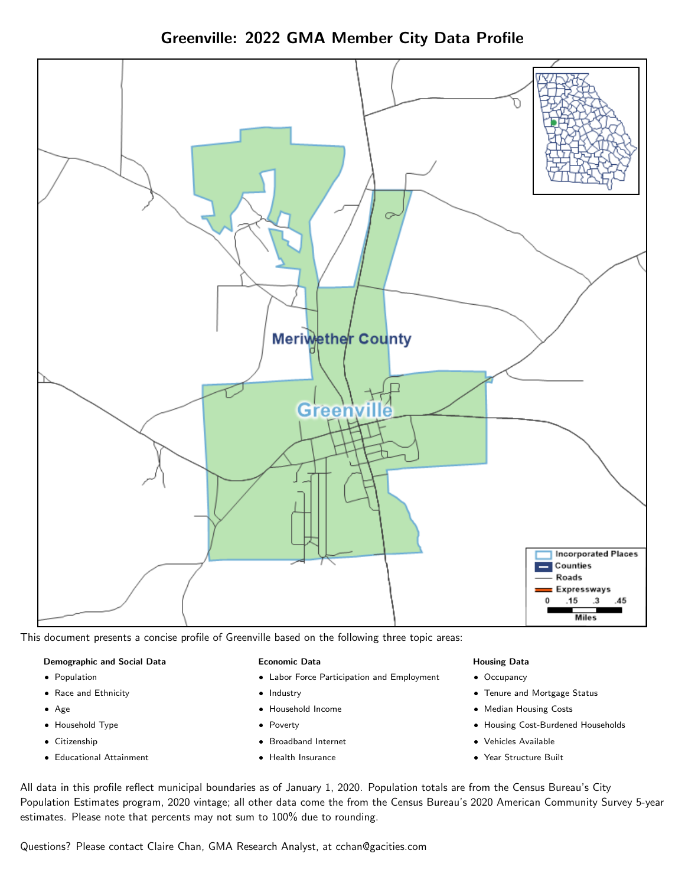Greenville: 2022 GMA Member City Data Profile



This document presents a concise profile of Greenville based on the following three topic areas:

#### Demographic and Social Data

- **•** Population
- Race and Ethnicity
- Age
- Household Type
- **Citizenship**
- Educational Attainment

#### Economic Data

- Labor Force Participation and Employment
- Industry
- Household Income
- Poverty
- Broadband Internet
- Health Insurance

#### Housing Data

- Occupancy
- Tenure and Mortgage Status
- Median Housing Costs
- Housing Cost-Burdened Households
- Vehicles Available
- Year Structure Built

All data in this profile reflect municipal boundaries as of January 1, 2020. Population totals are from the Census Bureau's City Population Estimates program, 2020 vintage; all other data come the from the Census Bureau's 2020 American Community Survey 5-year estimates. Please note that percents may not sum to 100% due to rounding.

Questions? Please contact Claire Chan, GMA Research Analyst, at [cchan@gacities.com.](mailto:cchan@gacities.com)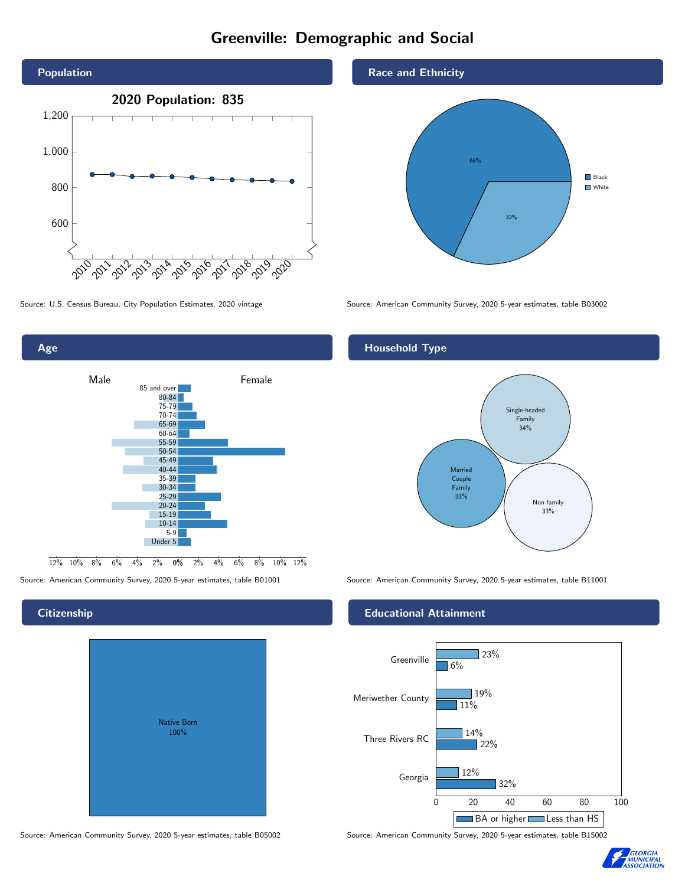# Greenville: Demographic and Social





## **Citizenship**

| <b>Native Born</b><br>100% |  |
|----------------------------|--|
|                            |  |

Race and Ethnicity



Source: U.S. Census Bureau, City Population Estimates, 2020 vintage Source: American Community Survey, 2020 5-year estimates, table B03002

## Household Type



Source: American Community Survey, 2020 5-year estimates, table B01001 Source: American Community Survey, 2020 5-year estimates, table B11001

#### Educational Attainment



Source: American Community Survey, 2020 5-year estimates, table B05002 Source: American Community Survey, 2020 5-year estimates, table B15002

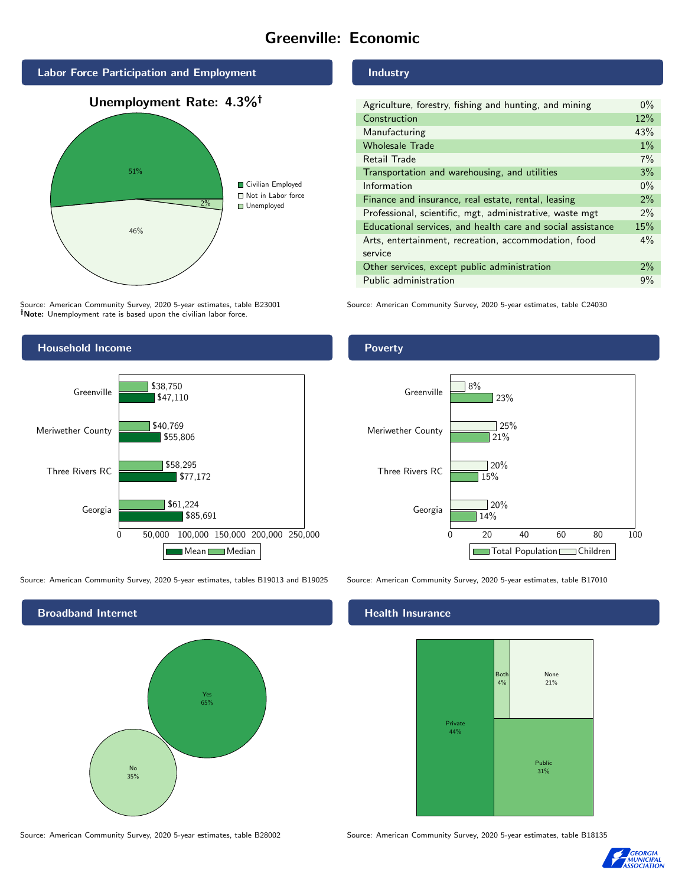# Greenville: Economic



Source: American Community Survey, 2020 5-year estimates, table B23001 Note: Unemployment rate is based upon the civilian labor force.

# Household Income 0 50,000 100,000 150,000 200,000 250,000 Georgia Three Rivers RC Meriwether County Greenville \$85,691 \$77,172 \$55,806 \$47,110 \$61,224 \$58,295 \$40,769 \$38,750 Mean Median

Source: American Community Survey, 2020 5-year estimates, tables B19013 and B19025 Source: American Community Survey, 2020 5-year estimates, table B17010

Broadband Internet No 35% Yes 65%

Industry

| Agriculture, forestry, fishing and hunting, and mining      | $0\%$ |  |
|-------------------------------------------------------------|-------|--|
| Construction                                                |       |  |
| Manufacturing                                               | 43%   |  |
| <b>Wholesale Trade</b>                                      | $1\%$ |  |
| Retail Trade                                                | 7%    |  |
| Transportation and warehousing, and utilities               |       |  |
| Information                                                 |       |  |
| Finance and insurance, real estate, rental, leasing         |       |  |
| Professional, scientific, mgt, administrative, waste mgt    |       |  |
| Educational services, and health care and social assistance |       |  |
| Arts, entertainment, recreation, accommodation, food        |       |  |
| service                                                     |       |  |
| Other services, except public administration                |       |  |
| Public administration                                       |       |  |

Source: American Community Survey, 2020 5-year estimates, table C24030

### Poverty



#### Health Insurance



Source: American Community Survey, 2020 5-year estimates, table B28002 Source: American Community Survey, 2020 5-year estimates, table B18135